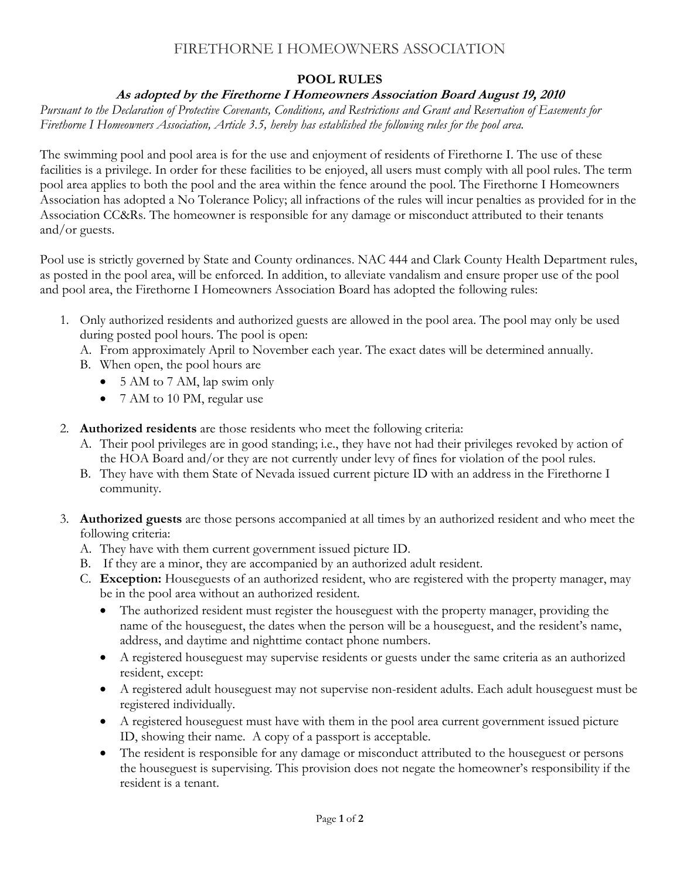# FIRETHORNE I HOMEOWNERS ASSOCIATION

### **POOL RULES**

#### **As adopted by the Firethorne I Homeowners Association Board August 19, 2010**

*Pursuant to the Declaration of Protective Covenants, Conditions, and Restrictions and Grant and Reservation of Easements for Firethorne I Homeowners Association, Article 3.5, hereby has established the following rules for the pool area.* 

The swimming pool and pool area is for the use and enjoyment of residents of Firethorne I. The use of these facilities is a privilege. In order for these facilities to be enjoyed, all users must comply with all pool rules. The term pool area applies to both the pool and the area within the fence around the pool. The Firethorne I Homeowners Association has adopted a No Tolerance Policy; all infractions of the rules will incur penalties as provided for in the Association CC&Rs. The homeowner is responsible for any damage or misconduct attributed to their tenants and/or guests.

Pool use is strictly governed by State and County ordinances. NAC 444 and Clark County Health Department rules, as posted in the pool area, will be enforced. In addition, to alleviate vandalism and ensure proper use of the pool and pool area, the Firethorne I Homeowners Association Board has adopted the following rules:

- 1. Only authorized residents and authorized guests are allowed in the pool area. The pool may only be used during posted pool hours. The pool is open:
	- A. From approximately April to November each year. The exact dates will be determined annually.
	- B. When open, the pool hours are
		- 5 AM to 7 AM, lap swim only
		- 7 AM to 10 PM, regular use
- 2. **Authorized residents** are those residents who meet the following criteria:
	- A. Their pool privileges are in good standing; i.e., they have not had their privileges revoked by action of the HOA Board and/or they are not currently under levy of fines for violation of the pool rules.
	- B. They have with them State of Nevada issued current picture ID with an address in the Firethorne I community.
- 3. **Authorized guests** are those persons accompanied at all times by an authorized resident and who meet the following criteria:
	- A. They have with them current government issued picture ID.
	- B. If they are a minor, they are accompanied by an authorized adult resident.
	- C. **Exception:** Houseguests of an authorized resident, who are registered with the property manager, may be in the pool area without an authorized resident.
		- The authorized resident must register the houseguest with the property manager, providing the name of the houseguest, the dates when the person will be a houseguest, and the resident's name, address, and daytime and nighttime contact phone numbers.
		- A registered houseguest may supervise residents or guests under the same criteria as an authorized resident, except:
		- A registered adult houseguest may not supervise non-resident adults. Each adult houseguest must be registered individually.
		- A registered houseguest must have with them in the pool area current government issued picture ID, showing their name. A copy of a passport is acceptable.
		- The resident is responsible for any damage or misconduct attributed to the houseguest or persons the houseguest is supervising. This provision does not negate the homeowner's responsibility if the resident is a tenant.